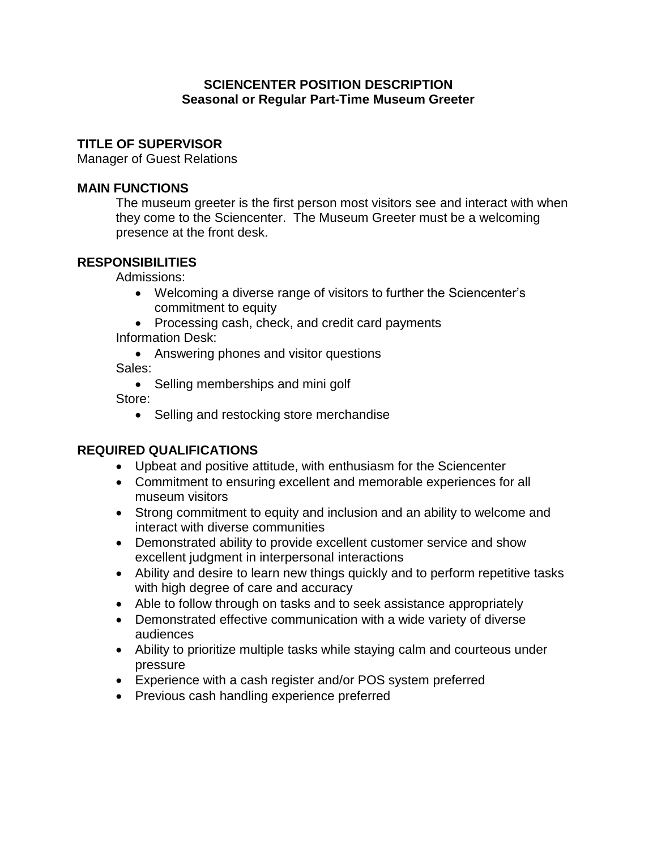## **SCIENCENTER POSITION DESCRIPTION Seasonal or Regular Part-Time Museum Greeter**

## **TITLE OF SUPERVISOR**

Manager of Guest Relations

### **MAIN FUNCTIONS**

The museum greeter is the first person most visitors see and interact with when they come to the Sciencenter. The Museum Greeter must be a welcoming presence at the front desk.

## **RESPONSIBILITIES**

Admissions:

- Welcoming a diverse range of visitors to further the Sciencenter's commitment to equity
- Processing cash, check, and credit card payments Information Desk:
	- Answering phones and visitor questions

Sales:

• Selling memberships and mini golf

Store:

• Selling and restocking store merchandise

# **REQUIRED QUALIFICATIONS**

- Upbeat and positive attitude, with enthusiasm for the Sciencenter
- Commitment to ensuring excellent and memorable experiences for all museum visitors
- Strong commitment to equity and inclusion and an ability to welcome and interact with diverse communities
- Demonstrated ability to provide excellent customer service and show excellent judgment in interpersonal interactions
- Ability and desire to learn new things quickly and to perform repetitive tasks with high degree of care and accuracy
- Able to follow through on tasks and to seek assistance appropriately
- Demonstrated effective communication with a wide variety of diverse audiences
- Ability to prioritize multiple tasks while staying calm and courteous under pressure
- Experience with a cash register and/or POS system preferred
- Previous cash handling experience preferred